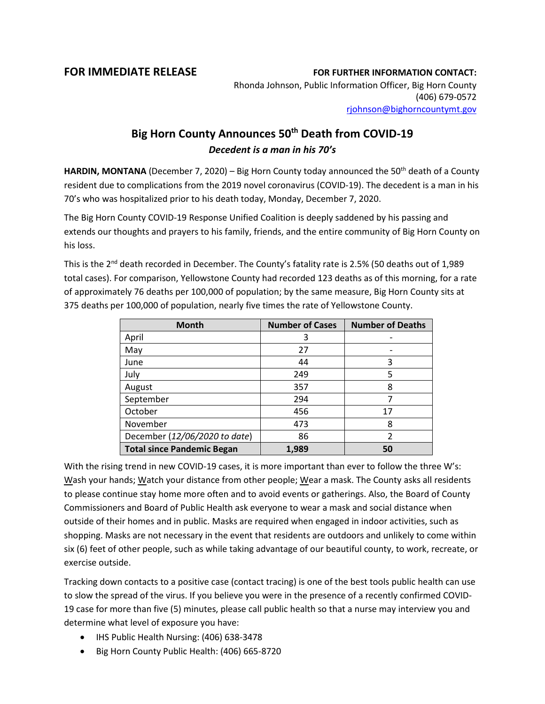## **FOR IMMEDIATE RELEASE FOR FURTHER INFORMATION CONTACT:**

Rhonda Johnson, Public Information Officer, Big Horn County (406) 679-0572 [rjohnson@bighorncountymt.gov](mailto:rjohnson@bighorncountymt.gov)

## **Big Horn County Announces 50th Death from COVID-19** *Decedent is a man in his 70's*

HARDIN, MONTANA (December 7, 2020) – Big Horn County today announced the 50<sup>th</sup> death of a County resident due to complications from the 2019 novel coronavirus (COVID-19). The decedent is a man in his 70's who was hospitalized prior to his death today, Monday, December 7, 2020.

The Big Horn County COVID-19 Response Unified Coalition is deeply saddened by his passing and extends our thoughts and prayers to his family, friends, and the entire community of Big Horn County on his loss.

This is the 2<sup>nd</sup> death recorded in December. The County's fatality rate is 2.5% (50 deaths out of 1,989 total cases). For comparison, Yellowstone County had recorded 123 deaths as of this morning, for a rate of approximately 76 deaths per 100,000 of population; by the same measure, Big Horn County sits at 375 deaths per 100,000 of population, nearly five times the rate of Yellowstone County.

| <b>Month</b>                      | <b>Number of Cases</b> | <b>Number of Deaths</b> |
|-----------------------------------|------------------------|-------------------------|
| April                             | 3                      |                         |
| May                               | 27                     |                         |
| June                              | 44                     | 3                       |
| July                              | 249                    | 5                       |
| August                            | 357                    | 8                       |
| September                         | 294                    |                         |
| October                           | 456                    | 17                      |
| November                          | 473                    | 8                       |
| December (12/06/2020 to date)     | 86                     |                         |
| <b>Total since Pandemic Began</b> | 1,989                  | 50                      |

With the rising trend in new COVID-19 cases, it is more important than ever to follow the three W's: Wash your hands; Watch your distance from other people; Wear a mask. The County asks all residents to please continue stay home more often and to avoid events or gatherings. Also, the Board of County Commissioners and Board of Public Health ask everyone to wear a mask and social distance when outside of their homes and in public. Masks are required when engaged in indoor activities, such as shopping. Masks are not necessary in the event that residents are outdoors and unlikely to come within six (6) feet of other people, such as while taking advantage of our beautiful county, to work, recreate, or exercise outside.

Tracking down contacts to a positive case (contact tracing) is one of the best tools public health can use to slow the spread of the virus. If you believe you were in the presence of a recently confirmed COVID-19 case for more than five (5) minutes, please call public health so that a nurse may interview you and determine what level of exposure you have:

- IHS Public Health Nursing: (406) 638-3478
- Big Horn County Public Health: (406) 665-8720